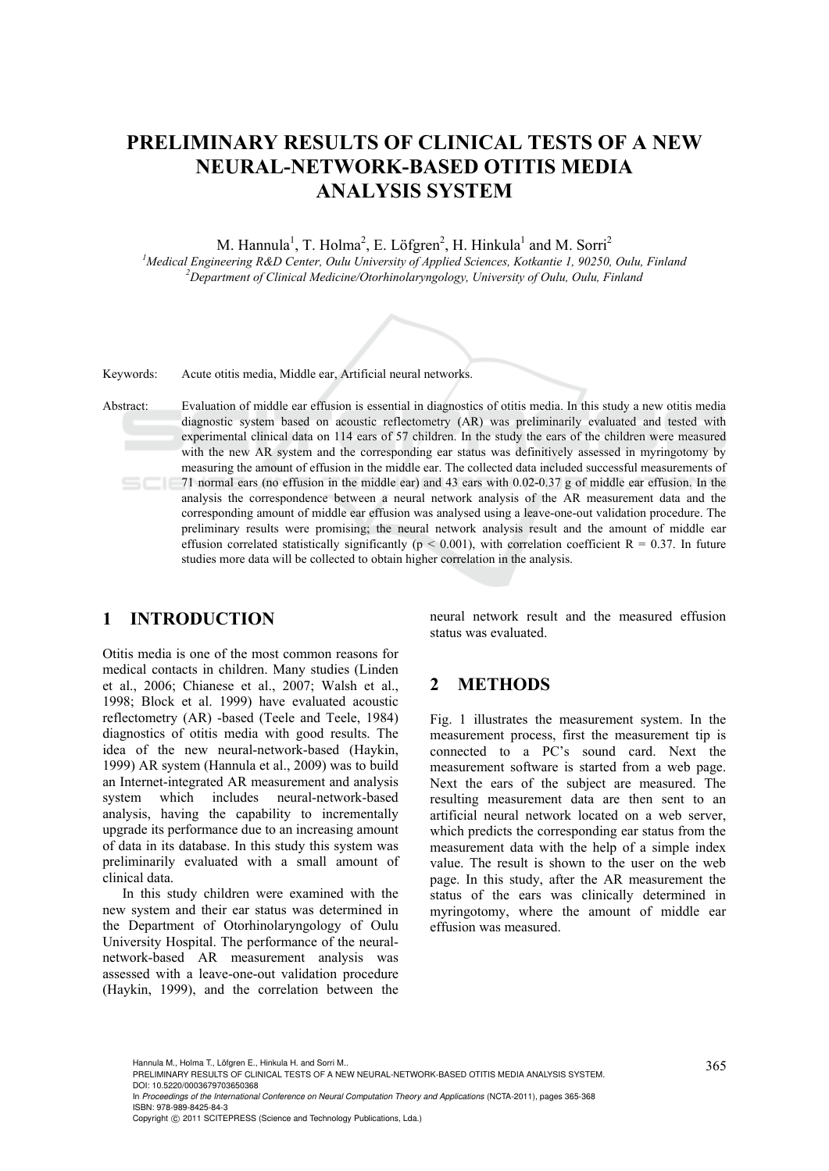# **PRELIMINARY RESULTS OF CLINICAL TESTS OF A NEW NEURAL-NETWORK-BASED OTITIS MEDIA ANALYSIS SYSTEM**

M. Hannula<sup>1</sup>, T. Holma<sup>2</sup>, E. Löfgren<sup>2</sup>, H. Hinkula<sup>1</sup> and M. Sorri<sup>2</sup>

<sup>1</sup> Medical Engineering R&D Center, Oulu University of Applied Sciences, Kotkantie 1, 90250, Oulu, Finland <sup>2</sup> Denaytment of Clinical Medicine/Otenhine larges and University of Oulu, Oulu, Finland *Department of Clinical Medicine/Otorhinolaryngology, University of Oulu, Oulu, Finland* 

Keywords: Acute otitis media, Middle ear, Artificial neural networks.

Abstract: Evaluation of middle ear effusion is essential in diagnostics of otitis media. In this study a new otitis media diagnostic system based on acoustic reflectometry (AR) was preliminarily evaluated and tested with experimental clinical data on 114 ears of 57 children. In the study the ears of the children were measured with the new AR system and the corresponding ear status was definitively assessed in myringotomy by measuring the amount of effusion in the middle ear. The collected data included successful measurements of 71 normal ears (no effusion in the middle ear) and 43 ears with 0.02-0.37 g of middle ear effusion. In the analysis the correspondence between a neural network analysis of the AR measurement data and the corresponding amount of middle ear effusion was analysed using a leave-one-out validation procedure. The preliminary results were promising; the neural network analysis result and the amount of middle ear effusion correlated statistically significantly ( $p < 0.001$ ), with correlation coefficient R = 0.37. In future studies more data will be collected to obtain higher correlation in the analysis.

## **1 INTRODUCTION**

Otitis media is one of the most common reasons for medical contacts in children. Many studies (Linden et al., 2006; Chianese et al., 2007; Walsh et al., 1998; Block et al. 1999) have evaluated acoustic reflectometry (AR) -based (Teele and Teele, 1984) diagnostics of otitis media with good results. The idea of the new neural-network-based (Haykin, 1999) AR system (Hannula et al., 2009) was to build an Internet-integrated AR measurement and analysis system which includes neural-network-based analysis, having the capability to incrementally upgrade its performance due to an increasing amount of data in its database. In this study this system was preliminarily evaluated with a small amount of clinical data.

In this study children were examined with the new system and their ear status was determined in the Department of Otorhinolaryngology of Oulu University Hospital. The performance of the neuralnetwork-based AR measurement analysis was assessed with a leave-one-out validation procedure (Haykin, 1999), and the correlation between the neural network result and the measured effusion status was evaluated.

#### **2 METHODS**

Fig. 1 illustrates the measurement system. In the measurement process, first the measurement tip is connected to a PC's sound card. Next the measurement software is started from a web page. Next the ears of the subject are measured. The resulting measurement data are then sent to an artificial neural network located on a web server, which predicts the corresponding ear status from the measurement data with the help of a simple index value. The result is shown to the user on the web page. In this study, after the AR measurement the status of the ears was clinically determined in myringotomy, where the amount of middle ear effusion was measured.

Hannula M., Holma T., Löfgren E., Hinkula H. and Sorri M..<br>PRELIMINARY RESULTS OF CLINICAL TESTS OF A NEW NEURAL-NETWORK-BASED OTITIS MEDIA ANALYSIS SYSTEM. DOI: 10.5220/0003679703650368

In *Proceedings of the International Conference on Neural Computation Theory and Applications* (NCTA-2011), pages 365-368 ISBN: 978-989-8425-84-3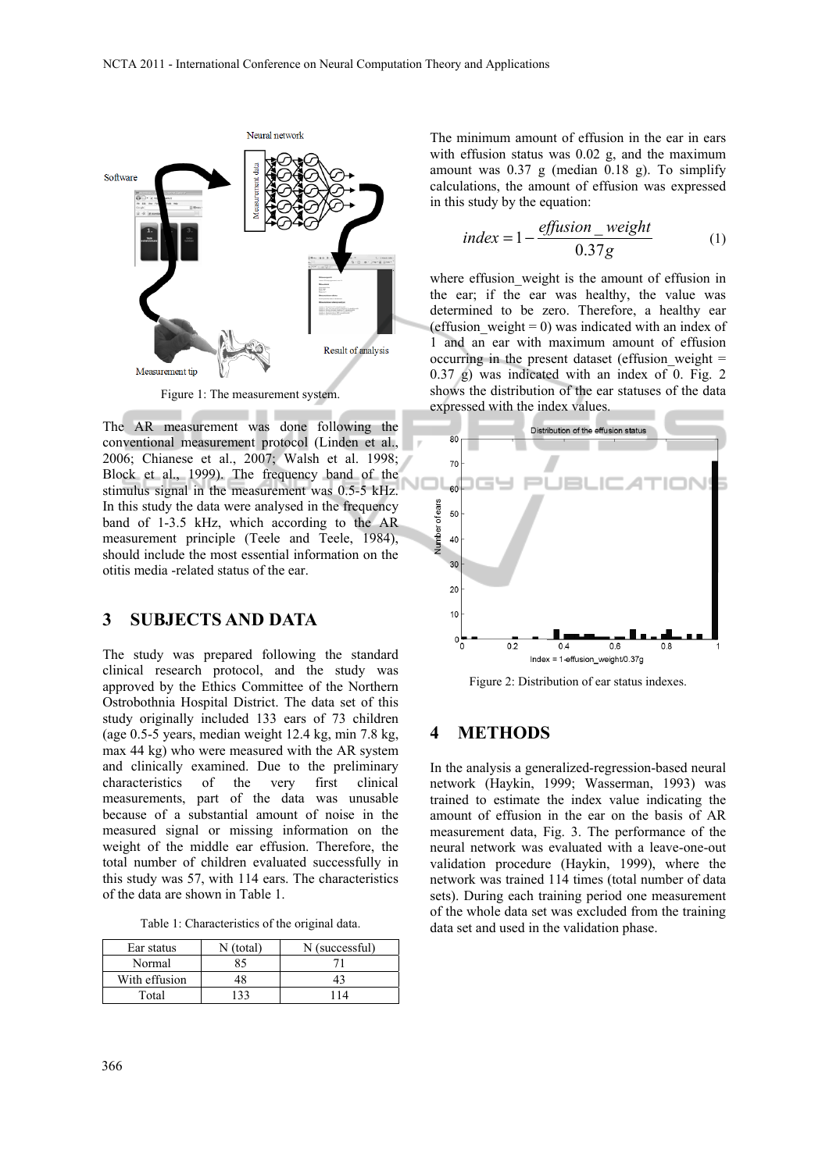

Figure 1: The measurement system.

The AR measurement was done following the conventional measurement protocol (Linden et al., 2006; Chianese et al., 2007; Walsh et al. 1998; Block et al., 1999). The frequency band of the stimulus signal in the measurement was 0.5-5 kHz. In this study the data were analysed in the frequency band of 1-3.5 kHz, which according to the AR measurement principle (Teele and Teele, 1984), should include the most essential information on the otitis media -related status of the ear.

#### **3 SUBJECTS AND DATA**

The study was prepared following the standard clinical research protocol, and the study was approved by the Ethics Committee of the Northern Ostrobothnia Hospital District. The data set of this study originally included 133 ears of 73 children (age 0.5-5 years, median weight 12.4 kg, min 7.8 kg, max 44 kg) who were measured with the AR system and clinically examined. Due to the preliminary characteristics of the very first clinical measurements, part of the data was unusable because of a substantial amount of noise in the measured signal or missing information on the weight of the middle ear effusion. Therefore, the total number of children evaluated successfully in this study was 57, with 114 ears. The characteristics of the data are shown in Table 1.

| Ear status    | N (total) | N (successful) |
|---------------|-----------|----------------|
| Normal        | 85        |                |
| With effusion |           | 43             |
| Total         |           | 14             |

The minimum amount of effusion in the ear in ears with effusion status was 0.02 g, and the maximum amount was 0.37 g (median 0.18 g). To simplify calculations, the amount of effusion was expressed in this study by the equation:

$$
index = 1 - \frac{effusion\_weight}{0.37g}
$$
 (1)

where effusion weight is the amount of effusion in the ear; if the ear was healthy, the value was determined to be zero. Therefore, a healthy ear (effusion weight = 0) was indicated with an index of 1 and an ear with maximum amount of effusion occurring in the present dataset (effusion weight  $=$ 0.37 g) was indicated with an index of 0. Fig. 2 shows the distribution of the ear statuses of the data expressed with the index values.



Figure 2: Distribution of ear status indexes.

#### **4 METHODS**

In the analysis a generalized-regression-based neural network (Haykin, 1999; Wasserman, 1993) was trained to estimate the index value indicating the amount of effusion in the ear on the basis of AR measurement data, Fig. 3. The performance of the neural network was evaluated with a leave-one-out validation procedure (Haykin, 1999), where the network was trained 114 times (total number of data sets). During each training period one measurement of the whole data set was excluded from the training data set and used in the validation phase.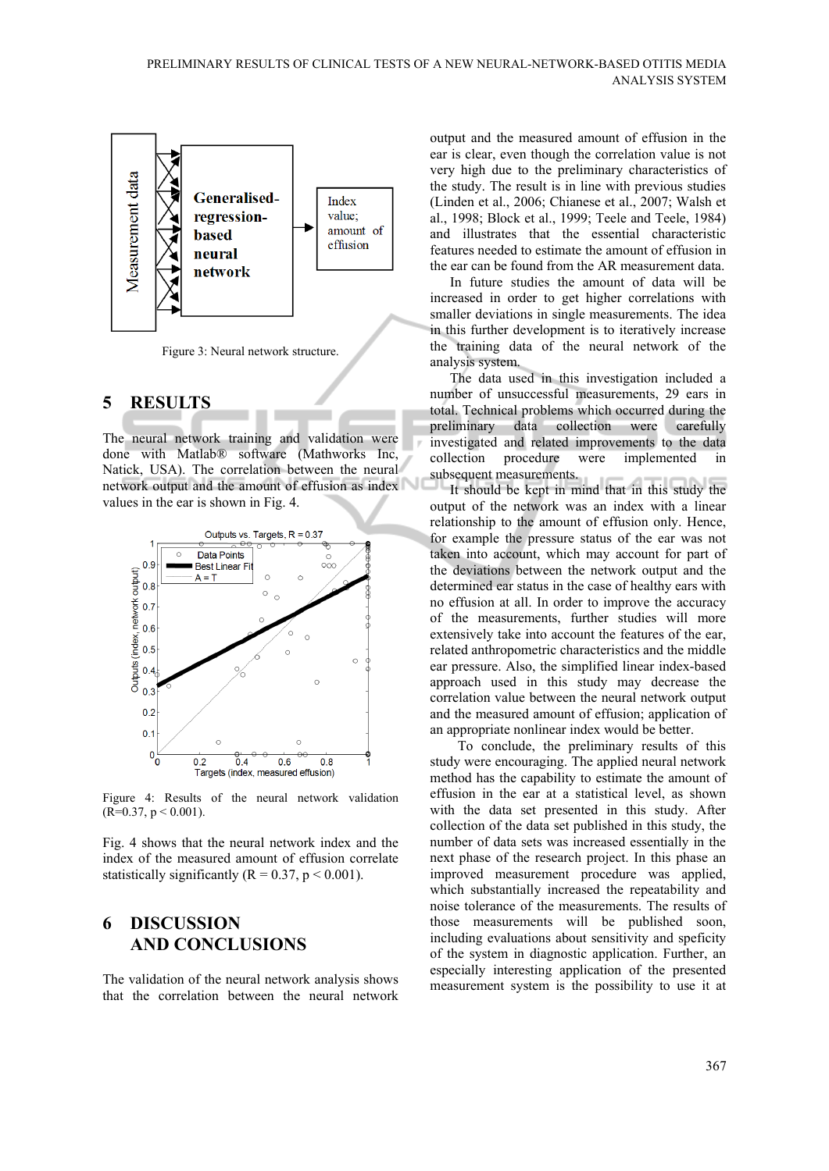

# **5 RESULTS**

The neural network training and validation were done with Matlab® software (Mathworks Inc, Natick, USA). The correlation between the neural network output and the amount of effusion as index values in the ear is shown in Fig. 4.



Figure 4: Results of the neural network validation  $(R=0.37, p \le 0.001)$ .

Fig. 4 shows that the neural network index and the index of the measured amount of effusion correlate statistically significantly ( $R = 0.37$ ,  $p < 0.001$ ).

## **6 DISCUSSION AND CONCLUSIONS**

The validation of the neural network analysis shows that the correlation between the neural network

output and the measured amount of effusion in the ear is clear, even though the correlation value is not very high due to the preliminary characteristics of the study. The result is in line with previous studies (Linden et al., 2006; Chianese et al., 2007; Walsh et al., 1998; Block et al., 1999; Teele and Teele, 1984) and illustrates that the essential characteristic features needed to estimate the amount of effusion in the ear can be found from the AR measurement data.

In future studies the amount of data will be increased in order to get higher correlations with smaller deviations in single measurements. The idea in this further development is to iteratively increase the training data of the neural network of the analysis system.

The data used in this investigation included a number of unsuccessful measurements, 29 ears in total. Technical problems which occurred during the preliminary data collection were carefully investigated and related improvements to the data collection procedure were implemented in subsequent measurements.

It should be kept in mind that in this study the output of the network was an index with a linear relationship to the amount of effusion only. Hence, for example the pressure status of the ear was not taken into account, which may account for part of the deviations between the network output and the determined ear status in the case of healthy ears with no effusion at all. In order to improve the accuracy of the measurements, further studies will more extensively take into account the features of the ear, related anthropometric characteristics and the middle ear pressure. Also, the simplified linear index-based approach used in this study may decrease the correlation value between the neural network output and the measured amount of effusion; application of an appropriate nonlinear index would be better.

To conclude, the preliminary results of this study were encouraging. The applied neural network method has the capability to estimate the amount of effusion in the ear at a statistical level, as shown with the data set presented in this study. After collection of the data set published in this study, the number of data sets was increased essentially in the next phase of the research project. In this phase an improved measurement procedure was applied, which substantially increased the repeatability and noise tolerance of the measurements. The results of those measurements will be published soon, including evaluations about sensitivity and speficity of the system in diagnostic application. Further, an especially interesting application of the presented measurement system is the possibility to use it at